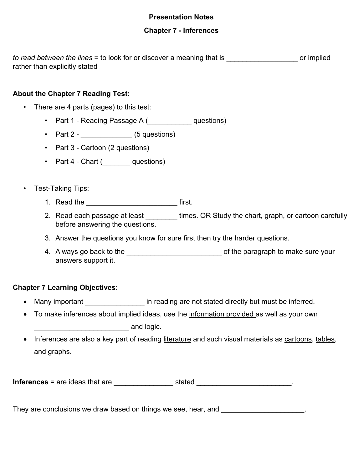## **Presentation Notes**

## **Chapter 7 - Inferences**

*to read between the lines* = to look for or discover a meaning that is **the end of implied** rather than explicitly stated

## **About the Chapter 7 Reading Test:**

- There are 4 parts (pages) to this test:
	- Part 1 Reading Passage A ( \_\_\_\_\_\_\_\_\_ questions)
	- Part 2  $(5$  questions)
	- Part 3 Cartoon (2 questions)
	- Part 4 Chart ( questions)
- Test-Taking Tips:
	- 1. Read the **the state of the state of the state of the state of the state of the state of the state of the state of the state of the state of the state of the state of the state of the state of the state of the state of t**
	- 2. Read each passage at least \_\_\_\_\_\_\_\_ times. OR Study the chart, graph, or cartoon carefully before answering the questions.
	- 3. Answer the questions you know for sure first then try the harder questions.
	- 4. Always go back to the \_\_\_\_\_\_\_\_\_\_\_\_\_\_\_\_\_\_\_\_\_\_\_\_\_\_\_\_\_\_\_\_ of the paragraph to make sure your answers support it.

#### **Chapter 7 Learning Objectives**:

- Many important \_\_\_\_\_\_\_\_\_\_\_\_\_\_\_\_\_\_\_\_\_in reading are not stated directly but must be inferred.
- To make inferences about implied ideas, use the information provided as well as your own \_\_\_\_\_\_\_\_\_\_\_\_\_\_\_\_\_\_\_\_\_\_\_\_ and logic.
- Inferences are also a key part of reading literature and such visual materials as cartoons, tables, and graphs.

| <b>Inferences</b> = are ideas that are | stated |  |  |
|----------------------------------------|--------|--|--|
|----------------------------------------|--------|--|--|

They are conclusions we draw based on things we see, hear, and **example 20** for the conclusions we draw based on things we see, hear, and